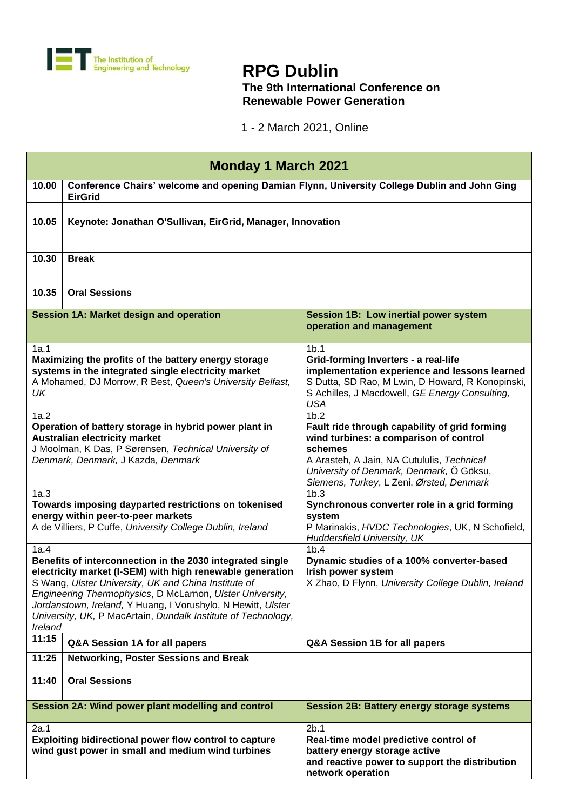

## **RPG Dublin**

## **The 9th International Conference on Renewable Power Generation**

1 - 2 March 2021, Online

| <b>Monday 1 March 2021</b>                                                                                                                                                                                                                                                                                                                                                                      |                                                                                                                |                                                                                                                                                                                                                                                              |
|-------------------------------------------------------------------------------------------------------------------------------------------------------------------------------------------------------------------------------------------------------------------------------------------------------------------------------------------------------------------------------------------------|----------------------------------------------------------------------------------------------------------------|--------------------------------------------------------------------------------------------------------------------------------------------------------------------------------------------------------------------------------------------------------------|
| 10.00                                                                                                                                                                                                                                                                                                                                                                                           | Conference Chairs' welcome and opening Damian Flynn, University College Dublin and John Ging<br><b>EirGrid</b> |                                                                                                                                                                                                                                                              |
| 10.05                                                                                                                                                                                                                                                                                                                                                                                           | Keynote: Jonathan O'Sullivan, EirGrid, Manager, Innovation                                                     |                                                                                                                                                                                                                                                              |
| 10.30                                                                                                                                                                                                                                                                                                                                                                                           | <b>Break</b>                                                                                                   |                                                                                                                                                                                                                                                              |
| 10.35                                                                                                                                                                                                                                                                                                                                                                                           | <b>Oral Sessions</b>                                                                                           |                                                                                                                                                                                                                                                              |
|                                                                                                                                                                                                                                                                                                                                                                                                 | <b>Session 1A: Market design and operation</b>                                                                 | Session 1B: Low inertial power system<br>operation and management                                                                                                                                                                                            |
| 1a.1<br>Maximizing the profits of the battery energy storage<br>systems in the integrated single electricity market<br>A Mohamed, DJ Morrow, R Best, Queen's University Belfast,<br>UK                                                                                                                                                                                                          |                                                                                                                | 1 <sub>b.1</sub><br>Grid-forming Inverters - a real-life<br>implementation experience and lessons learned<br>S Dutta, SD Rao, M Lwin, D Howard, R Konopinski,<br>S Achilles, J Macdowell, GE Energy Consulting,<br><b>USA</b>                                |
| 1a.2<br>Operation of battery storage in hybrid power plant in<br><b>Australian electricity market</b><br>J Moolman, K Das, P Sørensen, Technical University of<br>Denmark, Denmark, J Kazda, Denmark                                                                                                                                                                                            |                                                                                                                | 1 <sub>b.2</sub><br>Fault ride through capability of grid forming<br>wind turbines: a comparison of control<br>schemes<br>A Arasteh, A Jain, NA Cutululis, Technical<br>University of Denmark, Denmark, Ö Göksu,<br>Siemens, Turkey, L Zeni, Ørsted, Denmark |
| 1a.3<br>Towards imposing dayparted restrictions on tokenised<br>energy within peer-to-peer markets<br>A de Villiers, P Cuffe, University College Dublin, Ireland                                                                                                                                                                                                                                |                                                                                                                | 1b.3<br>Synchronous converter role in a grid forming<br>system<br>P Marinakis, HVDC Technologies, UK, N Schofield,<br>Huddersfield University, UK                                                                                                            |
| 1a.4<br>Benefits of interconnection in the 2030 integrated single<br>electricity market (I-SEM) with high renewable generation<br>S Wang, Ulster University, UK and China Institute of<br>Engineering Thermophysics, D McLarnon, Ulster University,<br>Jordanstown, Ireland, Y Huang, I Vorushylo, N Hewitt, Ulster<br>University, UK, P MacArtain, Dundalk Institute of Technology,<br>Ireland |                                                                                                                | 1 <sub>b.4</sub><br>Dynamic studies of a 100% converter-based<br>Irish power system<br>X Zhao, D Flynn, University College Dublin, Ireland                                                                                                                   |
| 11:15                                                                                                                                                                                                                                                                                                                                                                                           | Q&A Session 1A for all papers                                                                                  | Q&A Session 1B for all papers                                                                                                                                                                                                                                |
| 11:25                                                                                                                                                                                                                                                                                                                                                                                           | <b>Networking, Poster Sessions and Break</b>                                                                   |                                                                                                                                                                                                                                                              |
| 11:40                                                                                                                                                                                                                                                                                                                                                                                           | <b>Oral Sessions</b>                                                                                           |                                                                                                                                                                                                                                                              |
|                                                                                                                                                                                                                                                                                                                                                                                                 | Session 2A: Wind power plant modelling and control                                                             | <b>Session 2B: Battery energy storage systems</b>                                                                                                                                                                                                            |
| 2a.1                                                                                                                                                                                                                                                                                                                                                                                            | Exploiting bidirectional power flow control to capture<br>wind gust power in small and medium wind turbines    | 2b.1<br>Real-time model predictive control of<br>battery energy storage active<br>and reactive power to support the distribution<br>network operation                                                                                                        |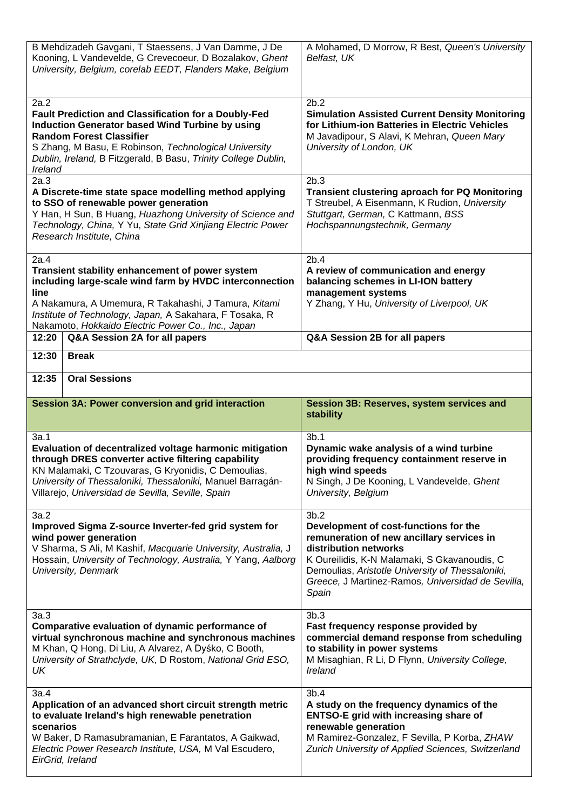| B Mehdizadeh Gavgani, T Staessens, J Van Damme, J De<br>Kooning, L Vandevelde, G Crevecoeur, D Bozalakov, Ghent<br>University, Belgium, corelab EEDT, Flanders Make, Belgium                                                                                                                           |                                                          | A Mohamed, D Morrow, R Best, Queen's University<br>Belfast, UK                                                                                                                                                                                                                        |
|--------------------------------------------------------------------------------------------------------------------------------------------------------------------------------------------------------------------------------------------------------------------------------------------------------|----------------------------------------------------------|---------------------------------------------------------------------------------------------------------------------------------------------------------------------------------------------------------------------------------------------------------------------------------------|
| 2a.2<br><b>Fault Prediction and Classification for a Doubly-Fed</b><br><b>Induction Generator based Wind Turbine by using</b><br><b>Random Forest Classifier</b><br>S Zhang, M Basu, E Robinson, Technological University<br>Dublin, Ireland, B Fitzgerald, B Basu, Trinity College Dublin,<br>Ireland |                                                          | 2b.2<br><b>Simulation Assisted Current Density Monitoring</b><br>for Lithium-ion Batteries in Electric Vehicles<br>M Javadipour, S Alavi, K Mehran, Queen Mary<br>University of London, UK                                                                                            |
| 2a.3<br>A Discrete-time state space modelling method applying<br>to SSO of renewable power generation<br>Y Han, H Sun, B Huang, Huazhong University of Science and<br>Technology, China, Y Yu, State Grid Xinjiang Electric Power<br>Research Institute, China                                         |                                                          | 2b.3<br><b>Transient clustering aproach for PQ Monitoring</b><br>T Streubel, A Eisenmann, K Rudion, University<br>Stuttgart, German, C Kattmann, BSS<br>Hochspannungstechnik, Germany                                                                                                 |
| 2a.4<br>Transient stability enhancement of power system<br>including large-scale wind farm by HVDC interconnection<br>line<br>A Nakamura, A Umemura, R Takahashi, J Tamura, Kitami<br>Institute of Technology, Japan, A Sakahara, F Tosaka, R<br>Nakamoto, Hokkaido Electric Power Co., Inc., Japan    |                                                          | 2b.4<br>A review of communication and energy<br>balancing schemes in LI-ION battery<br>management systems<br>Y Zhang, Y Hu, University of Liverpool, UK                                                                                                                               |
| 12:20                                                                                                                                                                                                                                                                                                  | Q&A Session 2A for all papers                            | Q&A Session 2B for all papers                                                                                                                                                                                                                                                         |
| 12:30                                                                                                                                                                                                                                                                                                  | <b>Break</b>                                             |                                                                                                                                                                                                                                                                                       |
| 12:35                                                                                                                                                                                                                                                                                                  | <b>Oral Sessions</b>                                     |                                                                                                                                                                                                                                                                                       |
|                                                                                                                                                                                                                                                                                                        | <b>Session 3A: Power conversion and grid interaction</b> | Session 3B: Reserves, system services and<br>stability                                                                                                                                                                                                                                |
| 3a.1<br>Evaluation of decentralized voltage harmonic mitigation<br>through DRES converter active filtering capability<br>KN Malamaki, C Tzouvaras, G Kryonidis, C Demoulias,<br>University of Thessaloniki, Thessaloniki, Manuel Barragán-<br>Villarejo, Universidad de Sevilla, Seville, Spain        |                                                          | 3b.1<br>Dynamic wake analysis of a wind turbine<br>providing frequency containment reserve in<br>high wind speeds<br>N Singh, J De Kooning, L Vandevelde, Ghent<br>University, Belgium                                                                                                |
| 3a.2<br>Improved Sigma Z-source Inverter-fed grid system for<br>wind power generation<br>V Sharma, S Ali, M Kashif, Macquarie University, Australia, J<br>Hossain, University of Technology, Australia, Y Yang, Aalborg<br>University, Denmark                                                         |                                                          | 3b.2<br>Development of cost-functions for the<br>remuneration of new ancillary services in<br>distribution networks<br>K Oureilidis, K-N Malamaki, S Gkavanoudis, C<br>Demoulias, Aristotle University of Thessaloniki,<br>Greece, J Martinez-Ramos, Universidad de Sevilla,<br>Spain |
| 3a.3<br>Comparative evaluation of dynamic performance of<br>virtual synchronous machine and synchronous machines<br>M Khan, Q Hong, Di Liu, A Alvarez, A Dyśko, C Booth,<br>University of Strathclyde, UK, D Rostom, National Grid ESO,<br>UK                                                          |                                                          | 3b.3<br>Fast frequency response provided by<br>commercial demand response from scheduling<br>to stability in power systems<br>M Misaghian, R Li, D Flynn, University College,<br>Ireland                                                                                              |
| 3a.4<br>Application of an advanced short circuit strength metric<br>to evaluate Ireland's high renewable penetration<br>scenarios<br>W Baker, D Ramasubramanian, E Farantatos, A Gaikwad,<br>Electric Power Research Institute, USA, M Val Escudero,<br>EirGrid, Ireland                               |                                                          | 3b.4<br>A study on the frequency dynamics of the<br><b>ENTSO-E grid with increasing share of</b><br>renewable generation<br>M Ramirez-Gonzalez, F Sevilla, P Korba, ZHAW<br>Zurich University of Applied Sciences, Switzerland                                                        |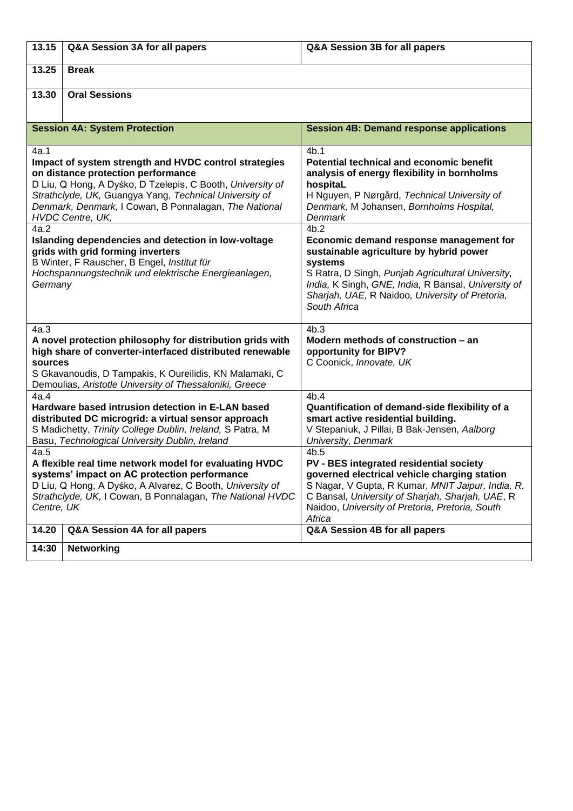| 13.15                                                                                                                                                                                                                                                                                                    | Q&A Session 3A for all papers        | Q&A Session 3B for all papers                                                                                                                                                                                                                                                        |
|----------------------------------------------------------------------------------------------------------------------------------------------------------------------------------------------------------------------------------------------------------------------------------------------------------|--------------------------------------|--------------------------------------------------------------------------------------------------------------------------------------------------------------------------------------------------------------------------------------------------------------------------------------|
| 13.25                                                                                                                                                                                                                                                                                                    | <b>Break</b>                         |                                                                                                                                                                                                                                                                                      |
| 13.30                                                                                                                                                                                                                                                                                                    | <b>Oral Sessions</b>                 |                                                                                                                                                                                                                                                                                      |
|                                                                                                                                                                                                                                                                                                          | <b>Session 4A: System Protection</b> | <b>Session 4B: Demand response applications</b>                                                                                                                                                                                                                                      |
| 4a.1<br>Impact of system strength and HVDC control strategies<br>on distance protection performance<br>D Liu, Q Hong, A Dyśko, D Tzelepis, C Booth, University of<br>Strathclyde, UK, Guangya Yang, Technical University of<br>Denmark, Denmark, I Cowan, B Ponnalagan, The National<br>HVDC Centre, UK, |                                      | 4b.1<br><b>Potential technical and economic benefit</b><br>analysis of energy flexibility in bornholms<br>hospitaL<br>H Nguyen, P Nørgård, Technical University of<br>Denmark, M Johansen, Bornholms Hospital,<br>Denmark                                                            |
| 4a.2<br>Islanding dependencies and detection in low-voltage<br>grids with grid forming inverters<br>B Winter, F Rauscher, B Engel, Institut für<br>Hochspannungstechnik und elektrische Energieanlagen,<br>Germany                                                                                       |                                      | 4b.2<br>Economic demand response management for<br>sustainable agriculture by hybrid power<br>systems<br>S Ratra, D Singh, Punjab Agricultural University,<br>India, K Singh, GNE, India, R Bansal, University of<br>Sharjah, UAE, R Naidoo, University of Pretoria,<br>South Africa |
| 4a.3<br>A novel protection philosophy for distribution grids with<br>high share of converter-interfaced distributed renewable<br>sources<br>S Gkavanoudis, D Tampakis, K Oureilidis, KN Malamaki, C<br>Demoulias, Aristotle University of Thessaloniki, Greece                                           |                                      | 4b.3<br>Modern methods of construction - an<br>opportunity for BIPV?<br>C Coonick, Innovate, UK                                                                                                                                                                                      |
| 4a.4<br>Hardware based intrusion detection in E-LAN based<br>distributed DC microgrid: a virtual sensor approach<br>S Madichetty, Trinity College Dublin, Ireland, S Patra, M<br>Basu, Technological University Dublin, Ireland                                                                          |                                      | 4b.4<br>Quantification of demand-side flexibility of a<br>smart active residential building.<br>V Stepaniuk, J Pillai, B Bak-Jensen, Aalborg<br>University, Denmark                                                                                                                  |
| 4a.5<br>A flexible real time network model for evaluating HVDC<br>systems' impact on AC protection performance<br>D Liu, Q Hong, A Dyśko, A Alvarez, C Booth, University of<br>Strathclyde, UK, I Cowan, B Ponnalagan, The National HVDC<br>Centre, UK                                                   |                                      | 4b.5<br>PV - BES integrated residential society<br>governed electrical vehicle charging station<br>S Nagar, V Gupta, R Kumar, MNIT Jaipur, India, R.<br>C Bansal, University of Sharjah, Sharjah, UAE, R<br>Naidoo, University of Pretoria, Pretoria, South<br>Africa                |
| 14.20                                                                                                                                                                                                                                                                                                    | Q&A Session 4A for all papers        | Q&A Session 4B for all papers                                                                                                                                                                                                                                                        |
| 14:30                                                                                                                                                                                                                                                                                                    | <b>Networking</b>                    |                                                                                                                                                                                                                                                                                      |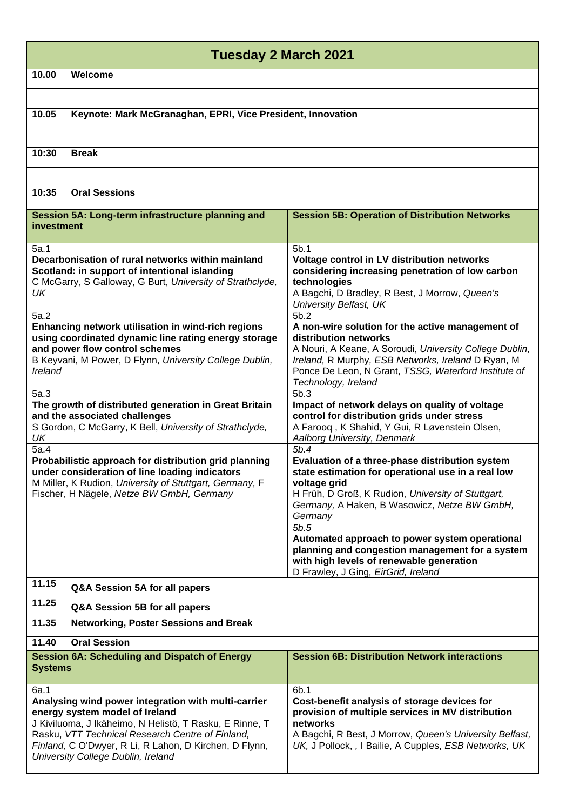| Tuesday 2 March 2021                                                                                                                                                                                                                                                                                         |                                                             |                                                                                                                                                                                                                                                                                   |
|--------------------------------------------------------------------------------------------------------------------------------------------------------------------------------------------------------------------------------------------------------------------------------------------------------------|-------------------------------------------------------------|-----------------------------------------------------------------------------------------------------------------------------------------------------------------------------------------------------------------------------------------------------------------------------------|
| 10.00                                                                                                                                                                                                                                                                                                        | Welcome                                                     |                                                                                                                                                                                                                                                                                   |
| 10.05                                                                                                                                                                                                                                                                                                        | Keynote: Mark McGranaghan, EPRI, Vice President, Innovation |                                                                                                                                                                                                                                                                                   |
| 10:30                                                                                                                                                                                                                                                                                                        | <b>Break</b>                                                |                                                                                                                                                                                                                                                                                   |
|                                                                                                                                                                                                                                                                                                              |                                                             |                                                                                                                                                                                                                                                                                   |
| 10:35                                                                                                                                                                                                                                                                                                        | <b>Oral Sessions</b>                                        |                                                                                                                                                                                                                                                                                   |
| investment                                                                                                                                                                                                                                                                                                   | Session 5A: Long-term infrastructure planning and           | <b>Session 5B: Operation of Distribution Networks</b>                                                                                                                                                                                                                             |
| 5a.1<br>Decarbonisation of rural networks within mainland<br>Scotland: in support of intentional islanding<br>C McGarry, S Galloway, G Burt, University of Strathclyde,<br>UK                                                                                                                                |                                                             | 5 <sub>b.1</sub><br>Voltage control in LV distribution networks<br>considering increasing penetration of low carbon<br>technologies<br>A Bagchi, D Bradley, R Best, J Morrow, Queen's<br>University Belfast, UK                                                                   |
| 5a.2<br>Enhancing network utilisation in wind-rich regions<br>using coordinated dynamic line rating energy storage<br>and power flow control schemes<br>B Keyvani, M Power, D Flynn, University College Dublin,<br>Ireland                                                                                   |                                                             | 5b.2<br>A non-wire solution for the active management of<br>distribution networks<br>A Nouri, A Keane, A Soroudi, University College Dublin,<br>Ireland, R Murphy, ESB Networks, Ireland D Ryan, M<br>Ponce De Leon, N Grant, TSSG, Waterford Institute of<br>Technology, Ireland |
| 5a.3<br>The growth of distributed generation in Great Britain<br>and the associated challenges<br>S Gordon, C McGarry, K Bell, University of Strathclyde,<br>UK                                                                                                                                              |                                                             | 5b.3<br>Impact of network delays on quality of voltage<br>control for distribution grids under stress<br>A Faroog, K Shahid, Y Gui, R Løvenstein Olsen,<br>Aalborg University, Denmark                                                                                            |
| 5a.4<br>Probabilistic approach for distribution grid planning<br>under consideration of line loading indicators<br>M Miller, K Rudion, University of Stuttgart, Germany, F<br>Fischer, H Nägele, Netze BW GmbH, Germany                                                                                      |                                                             | 5b.4<br>Evaluation of a three-phase distribution system<br>state estimation for operational use in a real low<br>voltage grid<br>H Früh, D Groß, K Rudion, University of Stuttgart,<br>Germany, A Haken, B Wasowicz, Netze BW GmbH,<br>Germany                                    |
|                                                                                                                                                                                                                                                                                                              |                                                             | 5b.5<br>Automated approach to power system operational<br>planning and congestion management for a system<br>with high levels of renewable generation<br>D Frawley, J Ging, EirGrid, Ireland                                                                                      |
| 11.15                                                                                                                                                                                                                                                                                                        | Q&A Session 5A for all papers                               |                                                                                                                                                                                                                                                                                   |
| 11.25                                                                                                                                                                                                                                                                                                        | Q&A Session 5B for all papers                               |                                                                                                                                                                                                                                                                                   |
| 11.35                                                                                                                                                                                                                                                                                                        | <b>Networking, Poster Sessions and Break</b>                |                                                                                                                                                                                                                                                                                   |
| 11.40                                                                                                                                                                                                                                                                                                        | <b>Oral Session</b>                                         |                                                                                                                                                                                                                                                                                   |
| <b>Systems</b>                                                                                                                                                                                                                                                                                               | <b>Session 6A: Scheduling and Dispatch of Energy</b>        | <b>Session 6B: Distribution Network interactions</b>                                                                                                                                                                                                                              |
| 6a.1<br>Analysing wind power integration with multi-carrier<br>energy system model of Ireland<br>J Kiviluoma, J Ikäheimo, N Helistö, T Rasku, E Rinne, T<br>Rasku, VTT Technical Research Centre of Finland,<br>Finland, C O'Dwyer, R Li, R Lahon, D Kirchen, D Flynn,<br>University College Dublin, Ireland |                                                             | 6b.1<br>Cost-benefit analysis of storage devices for<br>provision of multiple services in MV distribution<br>networks<br>A Bagchi, R Best, J Morrow, Queen's University Belfast,<br>UK, J Pollock, , I Bailie, A Cupples, ESB Networks, UK                                        |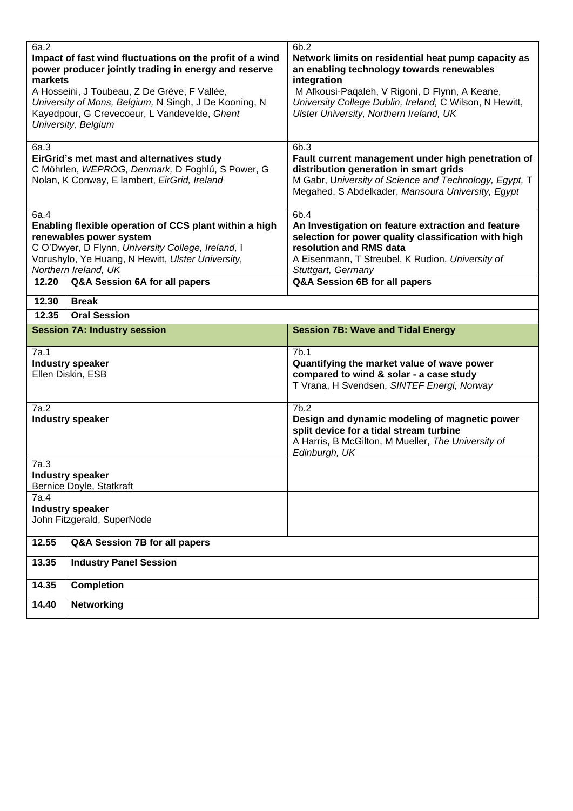| 6a.2<br>Impact of fast wind fluctuations on the profit of a wind<br>power producer jointly trading in energy and reserve<br>markets<br>A Hosseini, J Toubeau, Z De Grève, F Vallée,<br>University of Mons, Belgium, N Singh, J De Kooning, N<br>Kayedpour, G Crevecoeur, L Vandevelde, Ghent<br>University, Belgium |                                     | 6b.2<br>Network limits on residential heat pump capacity as<br>an enabling technology towards renewables<br>integration<br>M Afkousi-Paqaleh, V Rigoni, D Flynn, A Keane,<br>University College Dublin, Ireland, C Wilson, N Hewitt,<br>Ulster University, Northern Ireland, UK |
|---------------------------------------------------------------------------------------------------------------------------------------------------------------------------------------------------------------------------------------------------------------------------------------------------------------------|-------------------------------------|---------------------------------------------------------------------------------------------------------------------------------------------------------------------------------------------------------------------------------------------------------------------------------|
| 6a.3<br>EirGrid's met mast and alternatives study<br>C Möhrlen, WEPROG, Denmark, D Foghlú, S Power, G<br>Nolan, K Conway, E lambert, EirGrid, Ireland                                                                                                                                                               |                                     | 6b.3<br>Fault current management under high penetration of<br>distribution generation in smart grids<br>M Gabr, University of Science and Technology, Egypt, T<br>Megahed, S Abdelkader, Mansoura University, Egypt                                                             |
| 6a.4<br>Enabling flexible operation of CCS plant within a high<br>renewables power system<br>C O'Dwyer, D Flynn, University College, Ireland, I<br>Vorushylo, Ye Huang, N Hewitt, Ulster University,<br>Northern Ireland, UK                                                                                        |                                     | 6b.4<br>An Investigation on feature extraction and feature<br>selection for power quality classification with high<br>resolution and RMS data<br>A Eisenmann, T Streubel, K Rudion, University of<br>Stuttgart, Germany                                                         |
| 12.20                                                                                                                                                                                                                                                                                                               | Q&A Session 6A for all papers       | Q&A Session 6B for all papers                                                                                                                                                                                                                                                   |
| 12.30                                                                                                                                                                                                                                                                                                               | <b>Break</b>                        |                                                                                                                                                                                                                                                                                 |
| 12.35                                                                                                                                                                                                                                                                                                               | <b>Oral Session</b>                 |                                                                                                                                                                                                                                                                                 |
|                                                                                                                                                                                                                                                                                                                     | <b>Session 7A: Industry session</b> | <b>Session 7B: Wave and Tidal Energy</b>                                                                                                                                                                                                                                        |
| 7a.1<br><b>Industry speaker</b><br>Ellen Diskin, ESB                                                                                                                                                                                                                                                                |                                     | 7b.1<br>Quantifying the market value of wave power<br>compared to wind & solar - a case study<br>T Vrana, H Svendsen, SINTEF Energi, Norway                                                                                                                                     |
| 7a.2<br><b>Industry speaker</b>                                                                                                                                                                                                                                                                                     |                                     | 7b.2<br>Design and dynamic modeling of magnetic power<br>split device for a tidal stream turbine<br>A Harris, B McGilton, M Mueller, The University of<br>Edinburgh, UK                                                                                                         |
| 7a.3<br><b>Industry speaker</b><br>Bernice Doyle, Statkraft                                                                                                                                                                                                                                                         |                                     |                                                                                                                                                                                                                                                                                 |
| 7a.4<br><b>Industry speaker</b><br>John Fitzgerald, SuperNode                                                                                                                                                                                                                                                       |                                     |                                                                                                                                                                                                                                                                                 |
| 12.55                                                                                                                                                                                                                                                                                                               | Q&A Session 7B for all papers       |                                                                                                                                                                                                                                                                                 |
| 13.35                                                                                                                                                                                                                                                                                                               | <b>Industry Panel Session</b>       |                                                                                                                                                                                                                                                                                 |
| 14.35                                                                                                                                                                                                                                                                                                               | <b>Completion</b>                   |                                                                                                                                                                                                                                                                                 |
| 14.40                                                                                                                                                                                                                                                                                                               | <b>Networking</b>                   |                                                                                                                                                                                                                                                                                 |
|                                                                                                                                                                                                                                                                                                                     |                                     |                                                                                                                                                                                                                                                                                 |